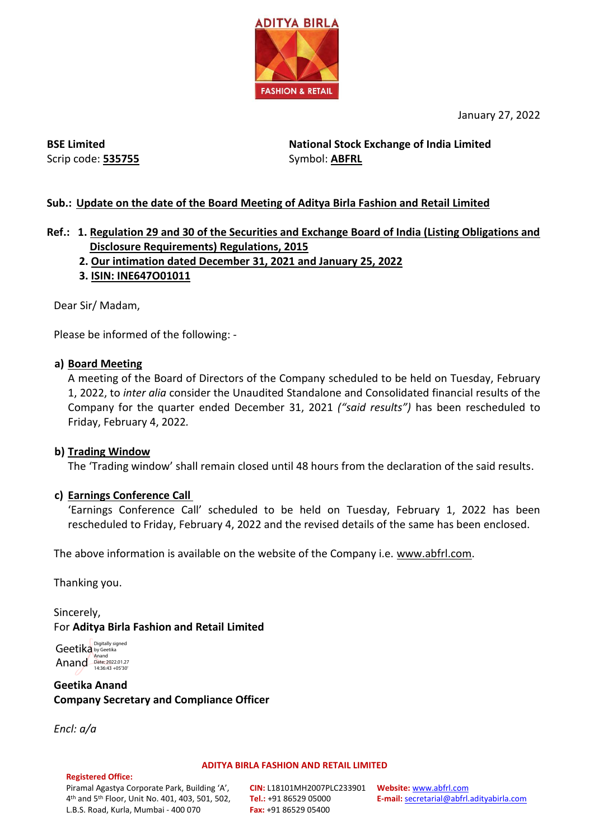

January 27, 2022

**BSE Limited** Scrip code: **535755**

**National Stock Exchange of India Limited**  Symbol: **ABFRL**

### **Sub.: Update on the date of the Board Meeting of Aditya Birla Fashion and Retail Limited**

## **Ref.: 1. Regulation 29 and 30 of the Securities and Exchange Board of India (Listing Obligations and Disclosure Requirements) Regulations, 2015**

- **2. Our intimation dated December 31, 2021 and January 25, 2022**
- **3. ISIN: INE647O01011**

Dear Sir/ Madam,

Please be informed of the following: -

### **a) Board Meeting**

A meeting of the Board of Directors of the Company scheduled to be held on Tuesday, February 1, 2022, to *inter alia* consider the Unaudited Standalone and Consolidated financial results of the Company for the quarter ended December 31, 2021 *("said results")* has been rescheduled to Friday, February 4, 2022*.*

### **b) Trading Window**

The 'Trading window' shall remain closed until 48 hours from the declaration of the said results.

### **c) Earnings Conference Call**

'Earnings Conference Call' scheduled to be held on Tuesday, February 1, 2022 has been rescheduled to Friday, February 4, 2022 and the revised details of the same has been enclosed.

The above information is available on the website of the Company i.e. www.abfrl.com.

Thanking you.

Sincerely, For **Aditya Birla Fashion and Retail Limited**

Geetika by Geetika Anand Date: 2022.01.27

**Geetika Anand Company Secretary and Compliance Officer**

*Encl: a/a*

**Registered Office:** 

### **ADITYA BIRLA FASHION AND RETAIL LIMITED**